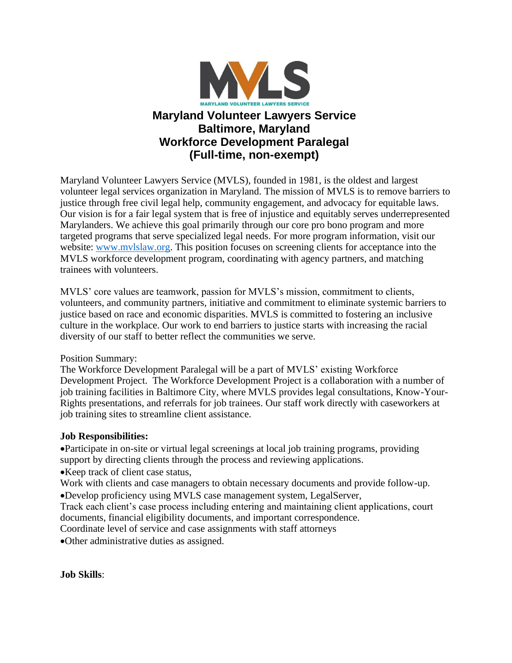

# **Maryland Volunteer Lawyers Service Baltimore, Maryland Workforce Development Paralegal (Full-time, non-exempt)**

Maryland Volunteer Lawyers Service (MVLS), founded in 1981, is the oldest and largest volunteer legal services organization in Maryland. The mission of MVLS is to remove barriers to justice through free civil legal help, community engagement, and advocacy for equitable laws. Our vision is for a fair legal system that is free of injustice and equitably serves underrepresented Marylanders. We achieve this goal primarily through our core pro bono program and more targeted programs that serve specialized legal needs. For more program information, visit our website: [www.mvlslaw.org.](http://www.mvlslaw.org/) This position focuses on screening clients for acceptance into the MVLS workforce development program, coordinating with agency partners, and matching trainees with volunteers.

MVLS' core values are teamwork, passion for MVLS's mission, commitment to clients, volunteers, and community partners, initiative and commitment to eliminate systemic barriers to justice based on race and economic disparities. MVLS is committed to fostering an inclusive culture in the workplace. Our work to end barriers to justice starts with increasing the racial diversity of our staff to better reflect the communities we serve.

### Position Summary:

The Workforce Development Paralegal will be a part of MVLS' existing Workforce Development Project. The Workforce Development Project is a collaboration with a number of job training facilities in Baltimore City, where MVLS provides legal consultations, Know-Your-Rights presentations, and referrals for job trainees. Our staff work directly with caseworkers at job training sites to streamline client assistance.

## **Job Responsibilities:**

•Participate in on-site or virtual legal screenings at local job training programs, providing support by directing clients through the process and reviewing applications.

•Keep track of client case status,

Work with clients and case managers to obtain necessary documents and provide follow-up. •Develop proficiency using MVLS case management system, LegalServer,

Track each client's case process including entering and maintaining client applications, court documents, financial eligibility documents, and important correspondence.

Coordinate level of service and case assignments with staff attorneys

•Other administrative duties as assigned.

**Job Skills**: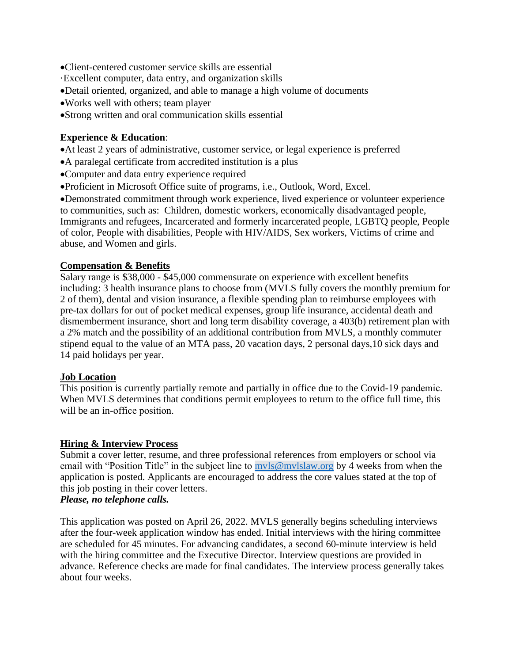- •Client-centered customer service skills are essential
- ·Excellent computer, data entry, and organization skills
- •Detail oriented, organized, and able to manage a high volume of documents
- •Works well with others; team player
- •Strong written and oral communication skills essential

#### **Experience & Education**:

- •At least 2 years of administrative, customer service, or legal experience is preferred
- •A paralegal certificate from accredited institution is a plus
- •Computer and data entry experience required
- •Proficient in Microsoft Office suite of programs, i.e., Outlook, Word, Excel.

•Demonstrated commitment through work experience, lived experience or volunteer experience to communities, such as: Children, domestic workers, economically disadvantaged people, Immigrants and refugees, Incarcerated and formerly incarcerated people, LGBTQ people, People of color, People with disabilities, People with HIV/AIDS, Sex workers, Victims of crime and abuse, and Women and girls.

#### **Compensation & Benefits**

Salary range is \$38,000 - \$45,000 commensurate on experience with excellent benefits including: 3 health insurance plans to choose from (MVLS fully covers the monthly premium for 2 of them), dental and vision insurance, a flexible spending plan to reimburse employees with pre-tax dollars for out of pocket medical expenses, group life insurance, accidental death and dismemberment insurance, short and long term disability coverage, a 403(b) retirement plan with a 2% match and the possibility of an additional contribution from MVLS, a monthly commuter stipend equal to the value of an MTA pass, 20 vacation days, 2 personal days,10 sick days and 14 paid holidays per year.

#### **Job Location**

This position is currently partially remote and partially in office due to the Covid-19 pandemic.  When MVLS determines that conditions permit employees to return to the office full time, this will be an in-office position.

### **Hiring & Interview Process**

Submit a cover letter, resume, and three professional references from employers or school via email with "Position Title" in the subject line to myls@mylslaw.org by 4 weeks from when the application is posted. Applicants are encouraged to address the core values stated at the top of this job posting in their cover letters. *Please, no telephone calls.*

This application was posted on April 26, 2022. MVLS generally begins scheduling interviews after the four-week application window has ended. Initial interviews with the hiring committee are scheduled for 45 minutes. For advancing candidates, a second 60-minute interview is held with the hiring committee and the Executive Director. Interview questions are provided in advance. Reference checks are made for final candidates. The interview process generally takes about four weeks.